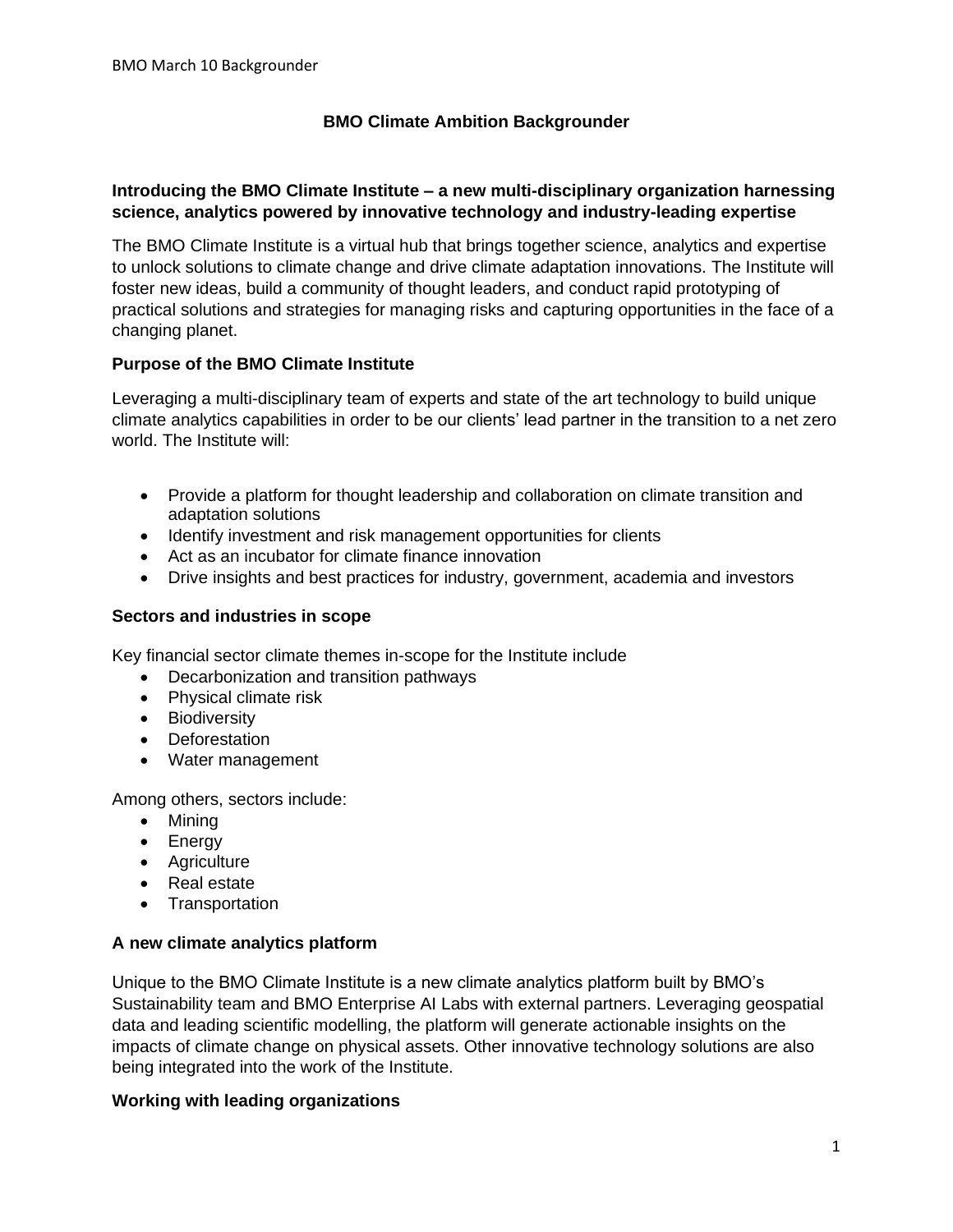# **BMO Climate Ambition Backgrounder**

### **Introducing the BMO Climate Institute – a new multi-disciplinary organization harnessing science, analytics powered by innovative technology and industry-leading expertise**

The BMO Climate Institute is a virtual hub that brings together science, analytics and expertise to unlock solutions to climate change and drive climate adaptation innovations. The Institute will foster new ideas, build a community of thought leaders, and conduct rapid prototyping of practical solutions and strategies for managing risks and capturing opportunities in the face of a changing planet.

### **Purpose of the BMO Climate Institute**

Leveraging a multi-disciplinary team of experts and state of the art technology to build unique climate analytics capabilities in order to be our clients' lead partner in the transition to a net zero world. The Institute will:

- Provide a platform for thought leadership and collaboration on climate transition and adaptation solutions
- Identify investment and risk management opportunities for clients
- Act as an incubator for climate finance innovation
- Drive insights and best practices for industry, government, academia and investors

#### **Sectors and industries in scope**

Key financial sector climate themes in-scope for the Institute include

- Decarbonization and transition pathways
- Physical climate risk
- Biodiversity
- Deforestation
- Water management

Among others, sectors include:

- Mining
- Energy
- Agriculture
- Real estate
- Transportation

### **A new climate analytics platform**

Unique to the BMO Climate Institute is a new climate analytics platform built by BMO's Sustainability team and BMO Enterprise AI Labs with external partners. Leveraging geospatial data and leading scientific modelling, the platform will generate actionable insights on the impacts of climate change on physical assets. Other innovative technology solutions are also being integrated into the work of the Institute.

### **Working with leading organizations**